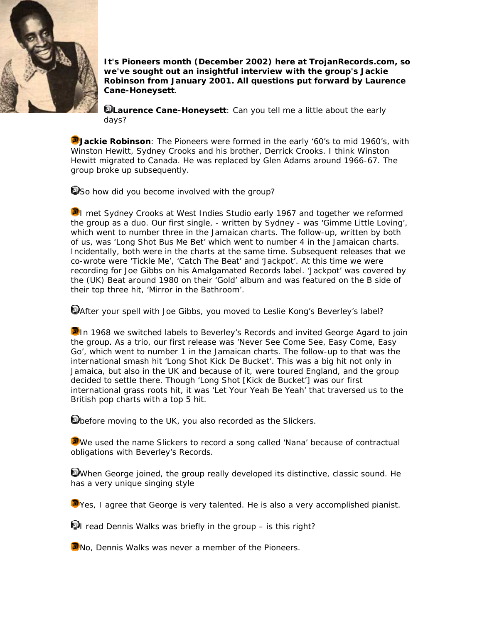

**It's Pioneers month (December 2002) here at TrojanRecords.com, so we've sought out an insightful interview with the group's Jackie Robinson from January 2001. All questions put forward by Laurence Cane-Honeysett**.

**Laurence Cane-Honeysett**: Can you tell me a little about the early days?

**Jackie Robinson**: The Pioneers were formed in the early '60's to mid 1960's, with Winston Hewitt, Sydney Crooks and his brother, Derrick Crooks. I think Winston Hewitt migrated to Canada. He was replaced by Glen Adams around 1966-67. The group broke up subsequently.

**O**So how did you become involved with the group?

**I** met Sydney Crooks at West Indies Studio early 1967 and together we reformed the group as a duo. Our first single, - written by Sydney - was 'Gimme Little Loving', which went to number three in the Jamaican charts. The follow-up, written by both of us, was 'Long Shot Bus Me Bet' which went to number 4 in the Jamaican charts. Incidentally, both were in the charts at the same time. Subsequent releases that we co-wrote were 'Tickle Me', 'Catch The Beat' and 'Jackpot'. At this time we were recording for Joe Gibbs on his Amalgamated Records label. 'Jackpot' was covered by the (UK) Beat around 1980 on their 'Gold' album and was featured on the B side of their top three hit, 'Mirror in the Bathroom'.

After your spell with Joe Gibbs, you moved to Leslie Kong's Beverley's label?

**I**In 1968 we switched labels to Beverley's Records and invited George Agard to join the group. As a trio, our first release was 'Never See Come See, Easy Come, Easy Go', which went to number 1 in the Jamaican charts. The follow-up to that was the international smash hit 'Long Shot Kick De Bucket'. This was a big hit not only in Jamaica, but also in the UK and because of it, were toured England, and the group decided to settle there. Though 'Long Shot [Kick de Bucket'] was our first international grass roots hit, it was 'Let Your Yeah Be Yeah' that traversed us to the British pop charts with a top 5 hit.

**O**before moving to the UK, you also recorded as the Slickers.

We used the name Slickers to record a song called 'Nana' because of contractual obligations with Beverley's Records.

When George joined, the group really developed its distinctive, classic sound. He has a very unique singing style

Yes, I agree that George is very talented. He is also a very accomplished pianist.

**D** read Dennis Walks was briefly in the group – is this right?

**A** No, Dennis Walks was never a member of the Pioneers.